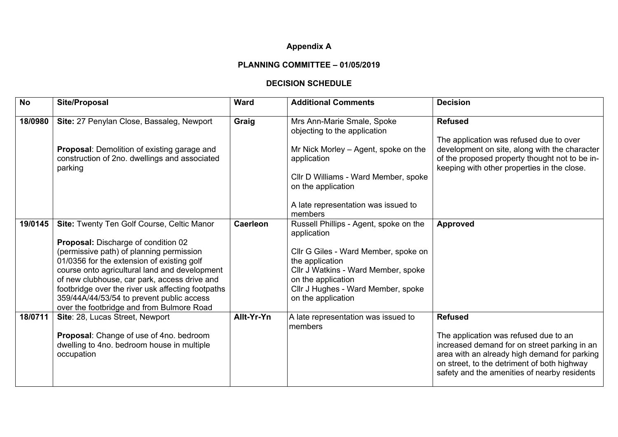## **Appendix A**

## **PLANNING COMMITTEE – 01/05/2019**

## **DECISION SCHEDULE**

| <b>No</b> | Site/Proposal                                                                                                                                                                                                                                                                                                                                                                                                               | <b>Ward</b>     | <b>Additional Comments</b>                                                                                                                                                                                                                | <b>Decision</b>                                                                                                                                                                                                                                        |
|-----------|-----------------------------------------------------------------------------------------------------------------------------------------------------------------------------------------------------------------------------------------------------------------------------------------------------------------------------------------------------------------------------------------------------------------------------|-----------------|-------------------------------------------------------------------------------------------------------------------------------------------------------------------------------------------------------------------------------------------|--------------------------------------------------------------------------------------------------------------------------------------------------------------------------------------------------------------------------------------------------------|
| 18/0980   | Site: 27 Penylan Close, Bassaleg, Newport<br>Proposal: Demolition of existing garage and<br>construction of 2no. dwellings and associated<br>parking                                                                                                                                                                                                                                                                        | Graig           | Mrs Ann-Marie Smale, Spoke<br>objecting to the application<br>Mr Nick Morley - Agent, spoke on the<br>application<br>Cllr D Williams - Ward Member, spoke<br>on the application<br>A late representation was issued to<br>members         | <b>Refused</b><br>The application was refused due to over<br>development on site, along with the character<br>of the proposed property thought not to be in-<br>keeping with other properties in the close.                                            |
| 19/0145   | Site: Twenty Ten Golf Course, Celtic Manor<br>Proposal: Discharge of condition 02<br>(permissive path) of planning permission<br>01/0356 for the extension of existing golf<br>course onto agricultural land and development<br>of new clubhouse, car park, access drive and<br>footbridge over the river usk affecting footpaths<br>359/44A/44/53/54 to prevent public access<br>over the footbridge and from Bulmore Road | <b>Caerleon</b> | Russell Phillips - Agent, spoke on the<br>application<br>Cllr G Giles - Ward Member, spoke on<br>the application<br>Cllr J Watkins - Ward Member, spoke<br>on the application<br>Cllr J Hughes - Ward Member, spoke<br>on the application | <b>Approved</b>                                                                                                                                                                                                                                        |
| 18/0711   | Site: 28, Lucas Street, Newport<br>Proposal: Change of use of 4no. bedroom<br>dwelling to 4no. bedroom house in multiple<br>occupation                                                                                                                                                                                                                                                                                      | Allt-Yr-Yn      | A late representation was issued to<br>members                                                                                                                                                                                            | <b>Refused</b><br>The application was refused due to an<br>increased demand for on street parking in an<br>area with an already high demand for parking<br>on street, to the detriment of both highway<br>safety and the amenities of nearby residents |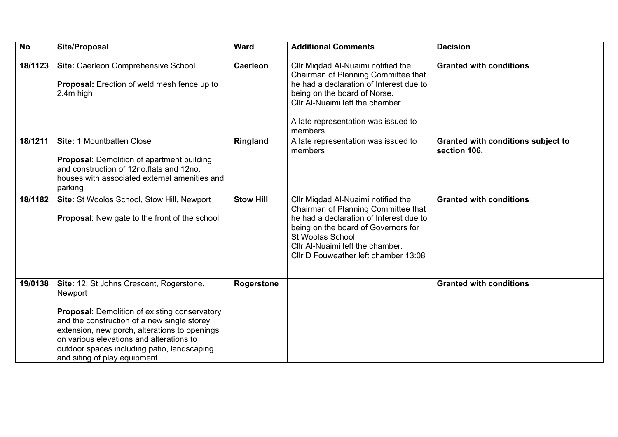| <b>No</b> | <b>Site/Proposal</b>                                                                                                                                                                                                                                                                                                            | <b>Ward</b>       | <b>Additional Comments</b>                                                                                                                                                                                                                                   | <b>Decision</b>                                           |
|-----------|---------------------------------------------------------------------------------------------------------------------------------------------------------------------------------------------------------------------------------------------------------------------------------------------------------------------------------|-------------------|--------------------------------------------------------------------------------------------------------------------------------------------------------------------------------------------------------------------------------------------------------------|-----------------------------------------------------------|
| 18/1123   | Site: Caerleon Comprehensive School<br>Proposal: Erection of weld mesh fence up to<br>2.4m high                                                                                                                                                                                                                                 | <b>Caerleon</b>   | Cllr Miqdad Al-Nuaimi notified the<br>Chairman of Planning Committee that<br>he had a declaration of Interest due to<br>being on the board of Norse.<br>Cllr Al-Nuaimi left the chamber.<br>A late representation was issued to<br>members                   | <b>Granted with conditions</b>                            |
| 18/1211   | Site: 1 Mountbatten Close<br><b>Proposal:</b> Demolition of apartment building<br>and construction of 12no.flats and 12no.<br>houses with associated external amenities and<br>parking                                                                                                                                          | Ringland          | A late representation was issued to<br>members                                                                                                                                                                                                               | <b>Granted with conditions subject to</b><br>section 106. |
| 18/1182   | Site: St Woolos School, Stow Hill, Newport<br><b>Proposal:</b> New gate to the front of the school                                                                                                                                                                                                                              | <b>Stow Hill</b>  | Cllr Migdad Al-Nuaimi notified the<br>Chairman of Planning Committee that<br>he had a declaration of Interest due to<br>being on the board of Governors for<br>St Woolas School.<br>Cllr Al-Nuaimi left the chamber.<br>Cllr D Fouweather left chamber 13:08 | <b>Granted with conditions</b>                            |
| 19/0138   | Site: 12, St Johns Crescent, Rogerstone,<br>Newport<br>Proposal: Demolition of existing conservatory<br>and the construction of a new single storey<br>extension, new porch, alterations to openings<br>on various elevations and alterations to<br>outdoor spaces including patio, landscaping<br>and siting of play equipment | <b>Rogerstone</b> |                                                                                                                                                                                                                                                              | <b>Granted with conditions</b>                            |